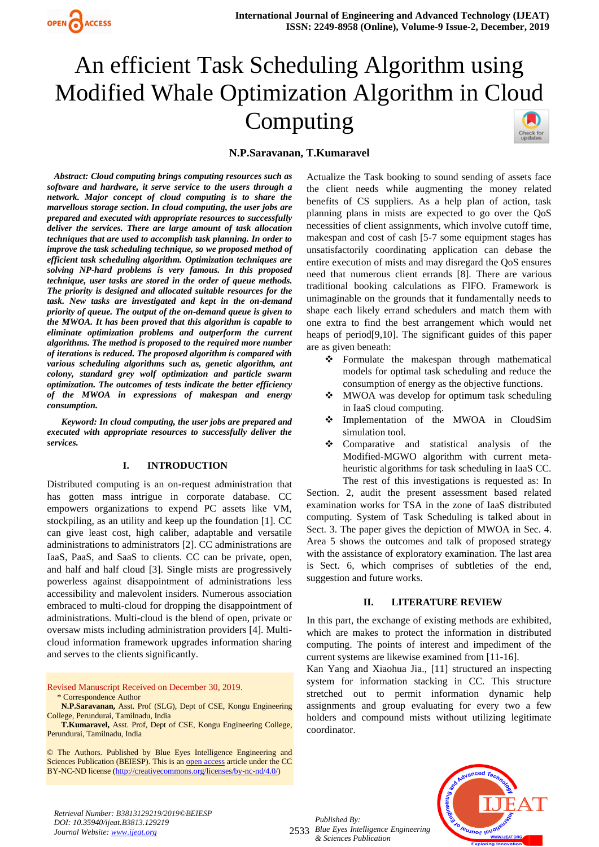

# An efficient Task Scheduling Algorithm using Modified Whale Optimization Algorithm in Cloud Computing Check for<br>updates

## **N.P.Saravanan, T.Kumaravel**

*Abstract: Cloud computing brings computing resources such as software and hardware, it serve service to the users through a network. Major concept of cloud computing is to share the marvellous storage section. In cloud computing, the user jobs are prepared and executed with appropriate resources to successfully deliver the services. There are large amount of task allocation techniques that are used to accomplish task planning. In order to improve the task scheduling technique, so we proposed method of efficient task scheduling algorithm. Optimization techniques are solving NP-hard problems is very famous. In this proposed technique, user tasks are stored in the order of queue methods. The priority is designed and allocated suitable resources for the task. New tasks are investigated and kept in the on-demand priority of queue. The output of the on-demand queue is given to the MWOA. It has been proved that this algorithm is capable to eliminate optimization problems and outperform the current algorithms. The method is proposed to the required more number of iterations is reduced. The proposed algorithm is compared with various scheduling algorithms such as, genetic algorithm, ant colony, standard grey wolf optimization and particle swarm optimization. The outcomes of tests indicate the better efficiency of the MWOA in expressions of makespan and energy consumption.*

*Keyword: In cloud computing, the user jobs are prepared and executed with appropriate resources to successfully deliver the services.*

#### **I. INTRODUCTION**

Distributed computing is an on-request administration that has gotten mass intrigue in corporate database. CC empowers organizations to expend PC assets like VM, stockpiling, as an utility and keep up the foundation [1]. CC can give least cost, high caliber, adaptable and versatile administrations to administrators [2]. CC administrations are IaaS, PaaS, and SaaS to clients. CC can be private, open, and half and half cloud [3]. Single mists are progressively powerless against disappointment of administrations less accessibility and malevolent insiders. Numerous association embraced to multi-cloud for dropping the disappointment of administrations. Multi-cloud is the blend of open, private or oversaw mists including administration providers [4]. Multicloud information framework upgrades information sharing and serves to the clients significantly.

Revised Manuscript Received on December 30, 2019. \* Correspondence Author

**N.P.Saravanan,** Asst. Prof (SLG), Dept of CSE, Kongu Engineering College, Perundurai, Tamilnadu, India

**T.Kumaravel,** Asst. Prof, Dept of CSE, Kongu Engineering College, Perundurai, Tamilnadu, India

© The Authors. Published by Blue Eyes Intelligence Engineering and Sciences Publication (BEIESP). This is a[n open access](https://www.openaccess.nl/en/open-publications) article under the CC BY-NC-ND license [\(http://creativecommons.org/licenses/by-nc-nd/4.0/\)](http://creativecommons.org/licenses/by-nc-nd/4.0/)

Actualize the Task booking to sound sending of assets face the client needs while augmenting the money related benefits of CS suppliers. As a help plan of action, task planning plans in mists are expected to go over the QoS necessities of client assignments, which involve cutoff time, makespan and cost of cash [5-7 some equipment stages has unsatisfactorily coordinating application can debase the entire execution of mists and may disregard the QoS ensures need that numerous client errands [8]. There are various traditional booking calculations as FIFO. Framework is unimaginable on the grounds that it fundamentally needs to shape each likely errand schedulers and match them with one extra to find the best arrangement which would net heaps of period[9,10]. The significant guides of this paper are as given beneath:

- ❖ Formulate the makespan through mathematical models for optimal task scheduling and reduce the consumption of energy as the objective functions.
- ❖ MWOA was develop for optimum task scheduling in IaaS cloud computing.
- ❖ Implementation of the MWOA in CloudSim simulation tool.
- ❖ Comparative and statistical analysis of the Modified-MGWO algorithm with current metaheuristic algorithms for task scheduling in IaaS CC. The rest of this investigations is requested as: In

Section. 2, audit the present assessment based related examination works for TSA in the zone of IaaS distributed computing. System of Task Scheduling is talked about in Sect. 3. The paper gives the depiction of MWOA in Sec. 4. Area 5 shows the outcomes and talk of proposed strategy with the assistance of exploratory examination. The last area is Sect. 6, which comprises of subtleties of the end, suggestion and future works.

#### **II. LITERATURE REVIEW**

In this part, the exchange of existing methods are exhibited, which are makes to protect the information in distributed computing. The points of interest and impediment of the current systems are likewise examined from [11-16].

Kan Yang and Xiaohua Jia., [11] structured an inspecting system for information stacking in CC. This structure stretched out to permit information dynamic help assignments and group evaluating for every two a few holders and compound mists without utilizing legitimate coordinator.



*Retrieval Number: B3813129219/2019©BEIESP DOI: 10.35940/ijeat.B3813.129219 Journal Website[: www.ijeat.org](http://www.ijeat.org/)*

2533 *Blue Eyes Intelligence Engineering Published By: & Sciences Publication*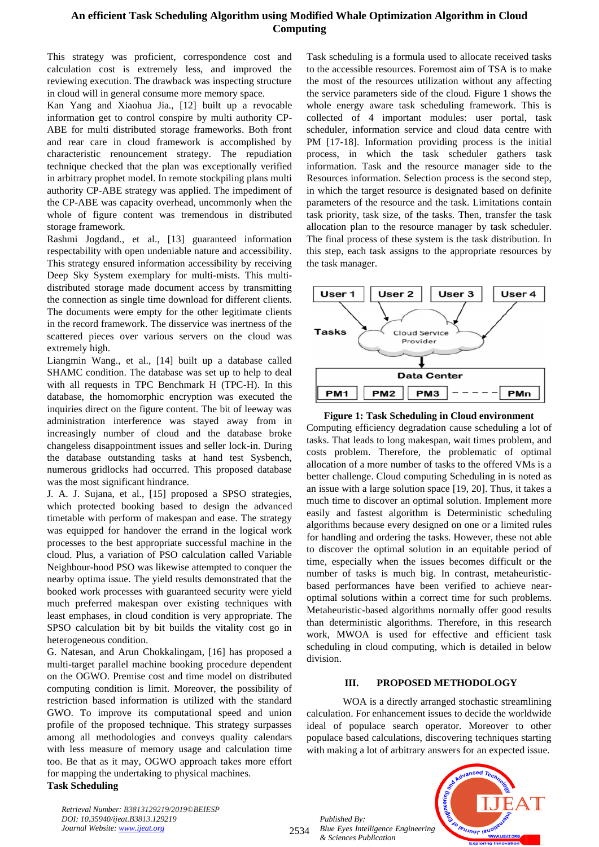# **An efficient Task Scheduling Algorithm using Modified Whale Optimization Algorithm in Cloud Computing**

This strategy was proficient, correspondence cost and calculation cost is extremely less, and improved the reviewing execution. The drawback was inspecting structure in cloud will in general consume more memory space.

Kan Yang and Xiaohua Jia., [12] built up a revocable information get to control conspire by multi authority CP-ABE for multi distributed storage frameworks. Both front and rear care in cloud framework is accomplished by characteristic renouncement strategy. The repudiation technique checked that the plan was exceptionally verified in arbitrary prophet model. In remote stockpiling plans multi authority CP-ABE strategy was applied. The impediment of the CP-ABE was capacity overhead, uncommonly when the whole of figure content was tremendous in distributed storage framework.

Rashmi Jogdand., et al., [13] guaranteed information respectability with open undeniable nature and accessibility. This strategy ensured information accessibility by receiving Deep Sky System exemplary for multi-mists. This multidistributed storage made document access by transmitting the connection as single time download for different clients. The documents were empty for the other legitimate clients in the record framework. The disservice was inertness of the scattered pieces over various servers on the cloud was extremely high.

Liangmin Wang., et al., [14] built up a database called SHAMC condition. The database was set up to help to deal with all requests in TPC Benchmark H (TPC-H). In this database, the homomorphic encryption was executed the inquiries direct on the figure content. The bit of leeway was administration interference was stayed away from in increasingly number of cloud and the database broke changeless disappointment issues and seller lock-in. During the database outstanding tasks at hand test Sysbench, numerous gridlocks had occurred. This proposed database was the most significant hindrance.

J. A. J. Sujana, et al., [15] proposed a SPSO strategies, which protected booking based to design the advanced timetable with perform of makespan and ease. The strategy was equipped for handover the errand in the logical work processes to the best appropriate successful machine in the cloud. Plus, a variation of PSO calculation called Variable Neighbour-hood PSO was likewise attempted to conquer the nearby optima issue. The yield results demonstrated that the booked work processes with guaranteed security were yield much preferred makespan over existing techniques with least emphases, in cloud condition is very appropriate. The SPSO calculation bit by bit builds the vitality cost go in heterogeneous condition.

G. Natesan, and Arun Chokkalingam, [16] has proposed a multi-target parallel machine booking procedure dependent on the OGWO. Premise cost and time model on distributed computing condition is limit. Moreover, the possibility of restriction based information is utilized with the standard GWO. To improve its computational speed and union profile of the proposed technique. This strategy surpasses among all methodologies and conveys quality calendars with less measure of memory usage and calculation time too. Be that as it may, OGWO approach takes more effort for mapping the undertaking to physical machines. **Task Scheduling**

*Retrieval Number: B3813129219/2019©BEIESP DOI: 10.35940/ijeat.B3813.129219 Journal Website[: www.ijeat.org](http://www.ijeat.org/)*

Task scheduling is a formula used to allocate received tasks to the accessible resources. Foremost aim of TSA is to make the most of the resources utilization without any affecting the service parameters side of the cloud. Figure 1 shows the whole energy aware task scheduling framework. This is collected of 4 important modules: user portal, task scheduler, information service and cloud data centre with PM [17-18]. Information providing process is the initial process, in which the task scheduler gathers task information. Task and the resource manager side to the Resources information. Selection process is the second step, in which the target resource is designated based on definite parameters of the resource and the task. Limitations contain task priority, task size, of the tasks. Then, transfer the task allocation plan to the resource manager by task scheduler. The final process of these system is the task distribution. In this step, each task assigns to the appropriate resources by the task manager.





Computing efficiency degradation cause scheduling a lot of tasks. That leads to long makespan, wait times problem, and costs problem. Therefore, the problematic of optimal allocation of a more number of tasks to the offered VMs is a better challenge. Cloud computing Scheduling in is noted as an issue with a large solution space [19, 20]. Thus, it takes a much time to discover an optimal solution. Implement more easily and fastest algorithm is Deterministic scheduling algorithms because every designed on one or a limited rules for handling and ordering the tasks. However, these not able to discover the optimal solution in an equitable period of time, especially when the issues becomes difficult or the number of tasks is much big. In contrast, metaheuristicbased performances have been verified to achieve nearoptimal solutions within a correct time for such problems. Metaheuristic-based algorithms normally offer good results than deterministic algorithms. Therefore, in this research work, MWOA is used for effective and efficient task scheduling in cloud computing, which is detailed in below division.

## **III. PROPOSED METHODOLOGY**

WOA is a directly arranged stochastic streamlining calculation. For enhancement issues to decide the worldwide ideal of populace search operator. Moreover to other populace based calculations, discovering techniques starting with making a lot of arbitrary answers for an expected issue.

*Published By: Blue Eyes Intelligence Engineering & Sciences Publication* 

2534

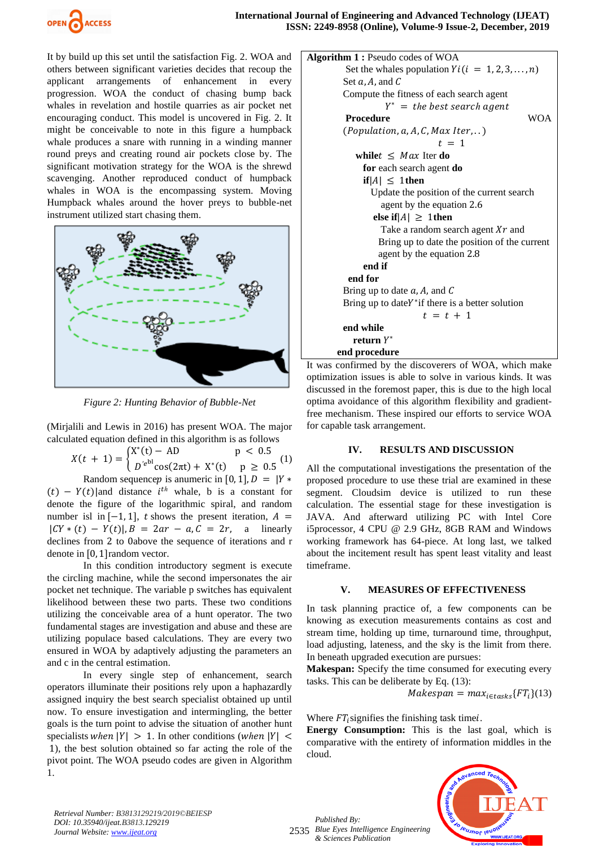

It by build up this set until the satisfaction Fig. 2. WOA and others between significant varieties decides that recoup the applicant arrangements of enhancement in every progression. WOA the conduct of chasing bump back whales in revelation and hostile quarries as air pocket net encouraging conduct. This model is uncovered in Fig. 2. It might be conceivable to note in this figure a humpback whale produces a snare with running in a winding manner round preys and creating round air pockets close by. The significant motivation strategy for the WOA is the shrewd scavenging. Another reproduced conduct of humpback whales in WOA is the encompassing system. Moving Humpback whales around the hover preys to bubble-net instrument utilized start chasing them.



*Figure 2: Hunting Behavior of Bubble-Net* 

(Mirjalili and Lewis in 2016) has present WOA. The major calculated equation defined in this algorithm is as follows

$$
X(t + 1) = \begin{cases} X^*(t) - AD & p < 0.5\\ D'e^{bl} \cos(2\pi t) + X^*(t) & p \ge 0.5 \end{cases}
$$

Random sequence *p* is anumeric in [0, 1],  $D = |Y*|$  $(t) - Y(t)$  and distance  $i^{th}$  whale, b is a constant for denote the figure of the logarithmic spiral, and random number isl in  $[-1, 1]$ , *t* shows the present iteration,  $A =$  $| CY * (t) - Y(t)|, B = 2ar - a, C = 2r, a linearly$ declines from 2 to 0above the sequence of iterations and r denote in [0, 1]random vector.

In this condition introductory segment is execute the circling machine, while the second impersonates the air pocket net technique. The variable p switches has equivalent likelihood between these two parts. These two conditions utilizing the conceivable area of a hunt operator. The two fundamental stages are investigation and abuse and these are utilizing populace based calculations. They are every two ensured in WOA by adaptively adjusting the parameters an and c in the central estimation.

In every single step of enhancement, search operators illuminate their positions rely upon a haphazardly assigned inquiry the best search specialist obtained up until now. To ensure investigation and intermingling, the better goals is the turn point to advise the situation of another hunt specialists *when*  $|Y| > 1$ . In other conditions (*when*  $|Y| <$ 1), the best solution obtained so far acting the role of the pivot point. The WOA pseudo codes are given in Algorithm 1.

```
Algorithm 1 : Pseudo codes of WOA
        Set the whales population Y_i (i = 1, 2, 3, ..., n)
        Set a, A, and CCompute the fitness of each search agent 
                  Y^* = the best search agent
         Procedure WOA 
        (Population, a, A, C, Max Iter, ...)t = 1 while t \leq Max Iter do
              for each search agent do
             if |A| \leq 1then
               Update the position of the current search
                  agent by the equation 2.6
               else if|A| > 1then
                 Take a random search agent Xr and
                 Bring up to date the position of the current 
                 agent by the equation 2.8
              end if 
          end for 
        Bring up to date a, A, and CBring up to dateY^* if there is a better solution
                           t = t + 1end while
         return 
∗
       end procedure
```
It was confirmed by the discoverers of WOA, which make optimization issues is able to solve in various kinds. It was discussed in the foremost paper, this is due to the high local optima avoidance of this algorithm flexibility and gradientfree mechanism. These inspired our efforts to service WOA for capable task arrangement.

## **IV. RESULTS AND DISCUSSION**

All the computational investigations the presentation of the proposed procedure to use these trial are examined in these segment. Cloudsim device is utilized to run these calculation. The essential stage for these investigation is JAVA. And afterward utilizing PC with Intel Core i5processor, 4 CPU @ 2.9 GHz, 8GB RAM and Windows working framework has 64-piece. At long last, we talked about the incitement result has spent least vitality and least timeframe.

#### **V. MEASURES OF EFFECTIVENESS**

In task planning practice of, a few components can be knowing as execution measurements contains as cost and stream time, holding up time, turnaround time, throughput, load adjusting, lateness, and the sky is the limit from there. In beneath upgraded execution are pursues:

**Makespan:** Specify the time consumed for executing every tasks. This can be deliberate by Eq. (13):

 $Makespan = max_{i \in tasks} \{ FT_i \} (13)$ 

Where  $FT<sub>i</sub>$  signifies the finishing task time.

**Energy Consumption:** This is the last goal, which is comparative with the entirety of information middles in the cloud.



*Retrieval Number: B3813129219/2019©BEIESP DOI: 10.35940/ijeat.B3813.129219 Journal Website[: www.ijeat.org](http://www.ijeat.org/)*

2535 *Blue Eyes Intelligence Engineering Published By: & Sciences Publication*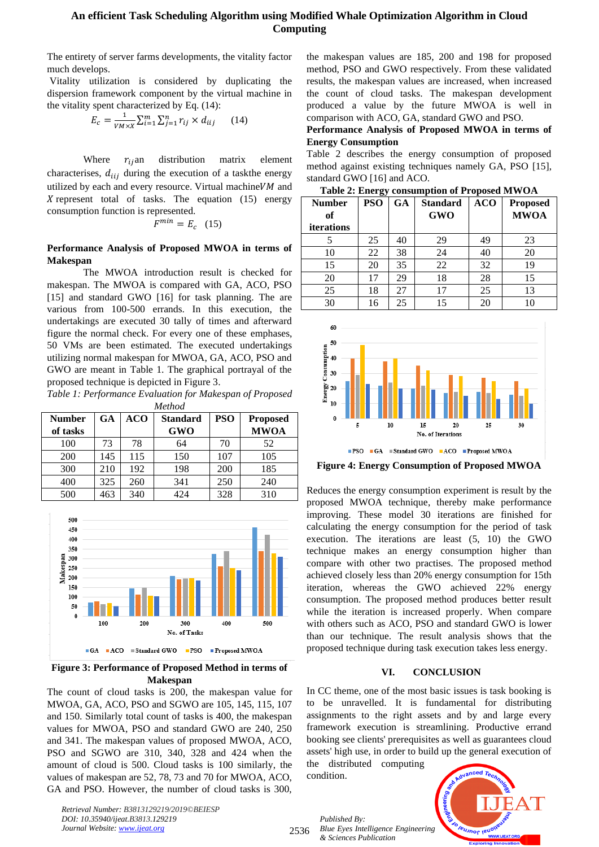## **An efficient Task Scheduling Algorithm using Modified Whale Optimization Algorithm in Cloud Computing**

The entirety of server farms developments, the vitality factor much develops.

Vitality utilization is considered by duplicating the dispersion framework component by the virtual machine in the vitality spent characterized by Eq. (14):

$$
E_c = \frac{1}{VM \times X} \sum_{i=1}^{m} \sum_{j=1}^{n} r_{ij} \times d_{iij} \qquad (14)
$$

Where  $r_{ij}$ an distribution matrix element characterises,  $d_{ii}$  during the execution of a taskthe energy utilized by each and every resource. Virtual machine  $VM$  and X represent total of tasks. The equation  $(15)$  energy consumption function is represented.

 $F^{min} = E_c$  (15)

## **Performance Analysis of Proposed MWOA in terms of Makespan**

The MWOA introduction result is checked for makespan. The MWOA is compared with GA, ACO, PSO [15] and standard GWO [16] for task planning. The are various from 100-500 errands. In this execution, the undertakings are executed 30 tally of times and afterward figure the normal check. For every one of these emphases, 50 VMs are been estimated. The executed undertakings utilizing normal makespan for MWOA, GA, ACO, PSO and GWO are meant in Table 1. The graphical portrayal of the proposed technique is depicted in Figure 3.

*Table 1: Performance Evaluation for Makespan of Proposed Method*

| <b>Number</b> | <b>GA</b> | <b>ACO</b> | <b>Standard</b> | <b>PSO</b> | <b>Proposed</b> |
|---------------|-----------|------------|-----------------|------------|-----------------|
| of tasks      |           |            | <b>GWO</b>      |            | <b>MWOA</b>     |
| 100           | 73        | 78         | 64              | 70         | 52              |
| 200           | 145       | 115        | 150             | 107        | 105             |
| 300           | 210       | 192        | 198             | 200        | 185             |
| 400           | 325       | 260        | 341             | 250        | 240             |
| 500           | 463       | 340        | 424             | 328        | 310             |



**Figure 3: Performance of Proposed Method in terms of Makespan**

The count of cloud tasks is 200, the makespan value for MWOA, GA, ACO, PSO and SGWO are 105, 145, 115, 107 and 150. Similarly total count of tasks is 400, the makespan values for MWOA, PSO and standard GWO are 240, 250 and 341. The makespan values of proposed MWOA, ACO, PSO and SGWO are 310, 340, 328 and 424 when the amount of cloud is 500. Cloud tasks is 100 similarly, the values of makespan are 52, 78, 73 and 70 for MWOA, ACO, GA and PSO. However, the number of cloud tasks is 300,

*Retrieval Number: B3813129219/2019©BEIESP DOI: 10.35940/ijeat.B3813.129219 Journal Website[: www.ijeat.org](http://www.ijeat.org/)*

the makespan values are 185, 200 and 198 for proposed method, PSO and GWO respectively. From these validated results, the makespan values are increased, when increased the count of cloud tasks. The makespan development produced a value by the future MWOA is well in comparison with ACO, GA, standard GWO and PSO.

#### **Performance Analysis of Proposed MWOA in terms of Energy Consumption**

Table 2 describes the energy consumption of proposed method against existing techniques namely GA, PSO [15], standard GWO [16] and ACO.

**Table 2: Energy consumption of Proposed MWOA**

| <b>Number</b><br>of<br>iterations | <b>PSO</b> | <b>GA</b> | <b>Standard</b><br><b>GWO</b> | <b>ACO</b> | <b>Proposed</b><br><b>MWOA</b> |
|-----------------------------------|------------|-----------|-------------------------------|------------|--------------------------------|
|                                   | 25         | 40        | 29                            | 49         | 23                             |
| 10                                | 22         | 38        | 24                            | 40         | 20                             |
| 15                                | 20         | 35        | 22                            | 32         | 19                             |
| 20                                | 17         | 29        | 18                            | 28         | 15                             |
| 25                                | 18         | 27        | 17                            | 25         | 13                             |
| 30                                | 16         | 25        | 15                            | 20         |                                |



**Figure 4: Energy Consumption of Proposed MWOA**

Reduces the energy consumption experiment is result by the proposed MWOA technique, thereby make performance improving. These model 30 iterations are finished for calculating the energy consumption for the period of task execution. The iterations are least (5, 10) the GWO technique makes an energy consumption higher than compare with other two practises. The proposed method achieved closely less than 20% energy consumption for 15th iteration, whereas the GWO achieved 22% energy consumption. The proposed method produces better result while the iteration is increased properly. When compare with others such as ACO, PSO and standard GWO is lower than our technique. The result analysis shows that the proposed technique during task execution takes less energy.

## **VI. CONCLUSION**

In CC theme, one of the most basic issues is task booking is to be unravelled. It is fundamental for distributing assignments to the right assets and by and large every framework execution is streamlining. Productive errand booking see clients' prerequisites as well as guarantees cloud assets' high use, in order to build up the general execution of

the distributed computing condition.



2536 *Published By: Blue Eyes Intelligence Engineering & Sciences Publication*